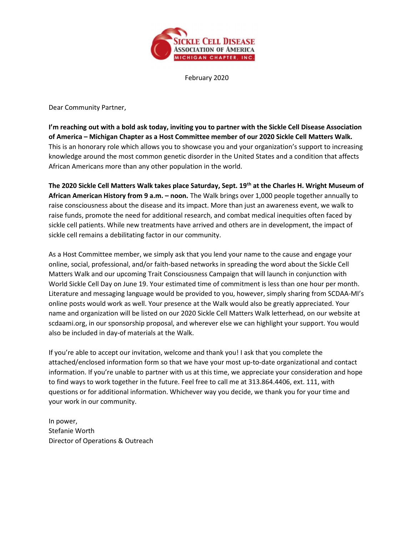

February 2020

Dear Community Partner,

I'm reaching out with a bold ask today, inviting you to partner with the Sickle Cell Disease Association of America – Michigan Chapter as a Host Committee member of our 2020 Sickle Cell Matters Walk. This is an honorary role which allows you to showcase you and your organization's support to increasing knowledge around the most common genetic disorder in the United States and a condition that affects African Americans more than any other population in the world.

The 2020 Sickle Cell Matters Walk takes place Saturday, Sept. 19<sup>th</sup> at the Charles H. Wright Museum of African American History from 9 a.m. - noon. The Walk brings over 1,000 people together annually to raise consciousness about the disease and its impact. More than just an awareness event, we walk to raise funds, promote the need for additional research, and combat medical inequities often faced by sickle cell patients. While new treatments have arrived and others are in development, the impact of sickle cell remains a debilitating factor in our community.

As a Host Committee member, we simply ask that you lend your name to the cause and engage your online, social, professional, and/or faith-based networks in spreading the word about the Sickle Cell Matters Walk and our upcoming Trait Consciousness Campaign that will launch in conjunction with World Sickle Cell Day on June 19. Your estimated time of commitment is less than one hour per month. Literature and messaging language would be provided to you, however, simply sharing from SCDAA-MI's online posts would work as well. Your presence at the Walk would also be greatly appreciated. Your name and organization will be listed on our 2020 Sickle Cell Matters Walk letterhead, on our website at scdaami.org, in our sponsorship proposal, and wherever else we can highlight your support. You would also be included in day-of materials at the Walk.

If you're able to accept our invitation, welcome and thank you! I ask that you complete the attached/enclosed information form so that we have your most up-to-date organizational and contact information. If you're unable to partner with us at this time, we appreciate your consideration and hope to find ways to work together in the future. Feel free to call me at 313.864.4406, ext. 111, with questions or for additional information. Whichever way you decide, we thank you for your time and your work in our community.

In power, Stefanie Worth Director of Operations & Outreach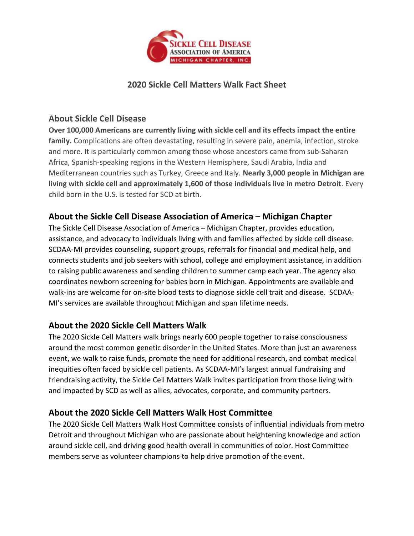

## 2020 Sickle Cell Matters Walk Fact Sheet

#### About Sickle Cell Disease

Over 100,000 Americans are currently living with sickle cell and its effects impact the entire family. Complications are often devastating, resulting in severe pain, anemia, infection, stroke and more. It is particularly common among those whose ancestors came from sub-Saharan Africa, Spanish-speaking regions in the Western Hemisphere, Saudi Arabia, India and Mediterranean countries such as Turkey, Greece and Italy. Nearly 3,000 people in Michigan are living with sickle cell and approximately 1,600 of those individuals live in metro Detroit. Every child born in the U.S. is tested for SCD at birth.

# About the Sickle Cell Disease Association of America – Michigan Chapter

The Sickle Cell Disease Association of America – Michigan Chapter, provides education, assistance, and advocacy to individuals living with and families affected by sickle cell disease. SCDAA-MI provides counseling, support groups, referrals for financial and medical help, and connects students and job seekers with school, college and employment assistance, in addition to raising public awareness and sending children to summer camp each year. The agency also coordinates newborn screening for babies born in Michigan. Appointments are available and walk-ins are welcome for on-site blood tests to diagnose sickle cell trait and disease. SCDAA-MI's services are available throughout Michigan and span lifetime needs.

## About the 2020 Sickle Cell Matters Walk

The 2020 Sickle Cell Matters walk brings nearly 600 people together to raise consciousness around the most common genetic disorder in the United States. More than just an awareness event, we walk to raise funds, promote the need for additional research, and combat medical inequities often faced by sickle cell patients. As SCDAA-MI's largest annual fundraising and friendraising activity, the Sickle Cell Matters Walk invites participation from those living with and impacted by SCD as well as allies, advocates, corporate, and community partners.

## About the 2020 Sickle Cell Matters Walk Host Committee

The 2020 Sickle Cell Matters Walk Host Committee consists of influential individuals from metro Detroit and throughout Michigan who are passionate about heightening knowledge and action around sickle cell, and driving good health overall in communities of color. Host Committee members serve as volunteer champions to help drive promotion of the event.